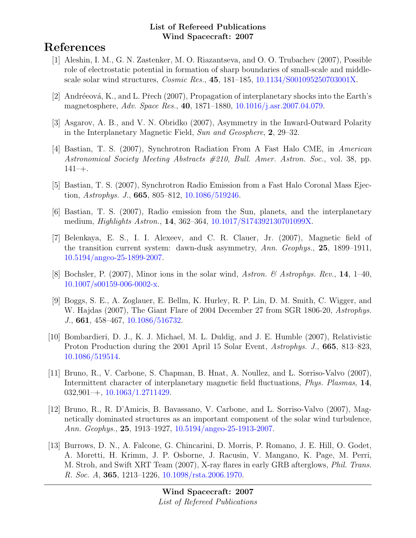# References

- [1] Aleshin, I. M., G. N. Zastenker, M. O. Riazantseva, and O. O. Trubachev (2007), Possible role of electrostatic potential in formation of sharp boundaries of small-scale and middlescale solar wind structures, Cosmic Res., 45, 181–185, [10.1134/S001095250703001X.](http://dx.doi.org/10.1134/S001095250703001X)
- [2] Andréeová, K., and L. Přech (2007), Propagation of interplanetary shocks into the Earth's magnetosphere, Adv. Space Res., 40, 1871–1880, [10.1016/j.asr.2007.04.079.](http://dx.doi.org/10.1016/j.asr.2007.04.079)
- [3] Asgarov, A. B., and V. N. Obridko (2007), Asymmetry in the Inward-Outward Polarity in the Interplanetary Magnetic Field, Sun and Geosphere, 2, 29–32.
- [4] Bastian, T. S. (2007), Synchrotron Radiation From A Fast Halo CME, in American Astronomical Society Meeting Abstracts #210, Bull. Amer. Astron. Soc., vol. 38, pp.  $141 - +$ .
- [5] Bastian, T. S. (2007), Synchrotron Radio Emission from a Fast Halo Coronal Mass Ejection, Astrophys. J., **665**, 805-812, [10.1086/519246.](http://dx.doi.org/10.1086/519246)
- [6] Bastian, T. S. (2007), Radio emission from the Sun, planets, and the interplanetary medium, Highlights Astron., 14, 362–364, [10.1017/S174392130701099X.](http://dx.doi.org/10.1017/S174392130701099X)
- [7] Belenkaya, E. S., I. I. Alexeev, and C. R. Clauer, Jr. (2007), Magnetic field of the transition current system: dawn-dusk asymmetry, Ann. Geophys., 25, 1899–1911, [10.5194/angeo-25-1899-2007.](http://dx.doi.org/10.5194/angeo-25-1899-2007)
- [8] Bochsler, P. (2007), Minor ions in the solar wind, Astron. & Astrophys. Rev., 14, 1–40, [10.1007/s00159-006-0002-x.](http://dx.doi.org/10.1007/s00159-006-0002-x)
- [9] Boggs, S. E., A. Zoglauer, E. Bellm, K. Hurley, R. P. Lin, D. M. Smith, C. Wigger, and W. Hajdas (2007), The Giant Flare of 2004 December 27 from SGR 1806-20, Astrophys. J., 661, 458–467, [10.1086/516732.](http://dx.doi.org/10.1086/516732)
- [10] Bombardieri, D. J., K. J. Michael, M. L. Duldig, and J. E. Humble (2007), Relativistic Proton Production during the 2001 April 15 Solar Event, Astrophys. J., 665, 813–823, [10.1086/519514.](http://dx.doi.org/10.1086/519514)
- [11] Bruno, R., V. Carbone, S. Chapman, B. Hnat, A. Noullez, and L. Sorriso-Valvo (2007), Intermittent character of interplanetary magnetic field fluctuations, Phys. Plasmas, 14, 032,901–+, [10.1063/1.2711429.](http://dx.doi.org/10.1063/1.2711429)
- [12] Bruno, R., R. D'Amicis, B. Bavassano, V. Carbone, and L. Sorriso-Valvo (2007), Magnetically dominated structures as an important component of the solar wind turbulence, Ann. Geophys., 25, 1913–1927, [10.5194/angeo-25-1913-2007.](http://dx.doi.org/10.5194/angeo-25-1913-2007)
- [13] Burrows, D. N., A. Falcone, G. Chincarini, D. Morris, P. Romano, J. E. Hill, O. Godet, A. Moretti, H. Krimm, J. P. Osborne, J. Racusin, V. Mangano, K. Page, M. Perri, M. Stroh, and Swift XRT Team (2007), X-ray flares in early GRB afterglows, Phil. Trans. R. Soc. A, 365, 1213–1226, [10.1098/rsta.2006.1970.](http://dx.doi.org/10.1098/rsta.2006.1970)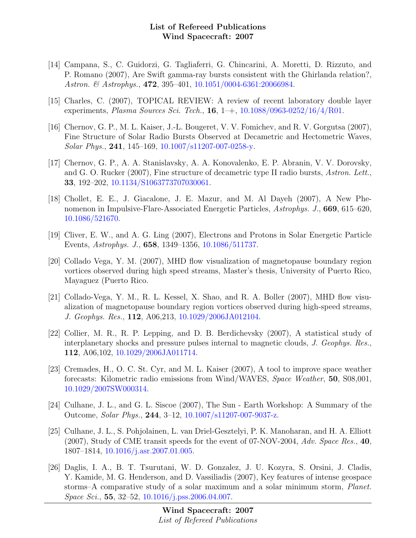- [14] Campana, S., C. Guidorzi, G. Tagliaferri, G. Chincarini, A. Moretti, D. Rizzuto, and P. Romano (2007), Are Swift gamma-ray bursts consistent with the Ghirlanda relation?, Astron. & Astrophys., 472, 395-401, [10.1051/0004-6361:20066984.](http://dx.doi.org/10.1051/0004-6361:20066984)
- [15] Charles, C. (2007), TOPICAL REVIEW: A review of recent laboratory double layer experiments, *Plasma Sources Sci. Tech.*, **16**,  $1 - +$ ,  $10.1088/0963-0252/16/4/R01$ .
- [16] Chernov, G. P., M. L. Kaiser, J.-L. Bougeret, V. V. Fomichev, and R. V. Gorgutsa (2007), Fine Structure of Solar Radio Bursts Observed at Decametric and Hectometric Waves, Solar Phys., 241, 145–169, [10.1007/s11207-007-0258-y.](http://dx.doi.org/10.1007/s11207-007-0258-y)
- [17] Chernov, G. P., A. A. Stanislavsky, A. A. Konovalenko, E. P. Abranin, V. V. Dorovsky, and G. O. Rucker (2007), Fine structure of decametric type II radio bursts, Astron. Lett., 33, 192–202, [10.1134/S1063773707030061.](http://dx.doi.org/10.1134/S1063773707030061)
- [18] Chollet, E. E., J. Giacalone, J. E. Mazur, and M. Al Dayeh (2007), A New Phenomenon in Impulsive-Flare-Associated Energetic Particles, Astrophys. J., 669, 615–620, [10.1086/521670.](http://dx.doi.org/10.1086/521670)
- [19] Cliver, E. W., and A. G. Ling (2007), Electrons and Protons in Solar Energetic Particle Events, Astrophys. J., 658, 1349–1356, [10.1086/511737.](http://dx.doi.org/10.1086/511737)
- [20] Collado Vega, Y. M. (2007), MHD flow visualization of magnetopause boundary region vortices observed during high speed streams, Master's thesis, University of Puerto Rico, Mayaguez (Puerto Rico.
- [21] Collado-Vega, Y. M., R. L. Kessel, X. Shao, and R. A. Boller (2007), MHD flow visualization of magnetopause boundary region vortices observed during high-speed streams, J. Geophys. Res., 112, A06,213, [10.1029/2006JA012104.](http://dx.doi.org/10.1029/2006JA012104)
- [22] Collier, M. R., R. P. Lepping, and D. B. Berdichevsky (2007), A statistical study of interplanetary shocks and pressure pulses internal to magnetic clouds, J. Geophys. Res., 112, A06,102, [10.1029/2006JA011714.](http://dx.doi.org/10.1029/2006JA011714)
- [23] Cremades, H., O. C. St. Cyr, and M. L. Kaiser (2007), A tool to improve space weather forecasts: Kilometric radio emissions from Wind/WAVES, Space Weather, 50, S08,001, [10.1029/2007SW000314.](http://dx.doi.org/10.1029/2007SW000314)
- [24] Culhane, J. L., and G. L. Siscoe (2007), The Sun Earth Workshop: A Summary of the Outcome, Solar Phys., 244, 3–12, [10.1007/s11207-007-9037-z.](http://dx.doi.org/10.1007/s11207-007-9037-z)
- [25] Culhane, J. L., S. Pohjolainen, L. van Driel-Gesztelyi, P. K. Manoharan, and H. A. Elliott  $(2007)$ , Study of CME transit speeds for the event of 07-NOV-2004, Adv. Space Res., 40, 1807–1814, [10.1016/j.asr.2007.01.005.](http://dx.doi.org/10.1016/j.asr.2007.01.005)
- [26] Daglis, I. A., B. T. Tsurutani, W. D. Gonzalez, J. U. Kozyra, S. Orsini, J. Cladis, Y. Kamide, M. G. Henderson, and D. Vassiliadis (2007), Key features of intense geospace storms–A comparative study of a solar maximum and a solar minimum storm, Planet. Space Sci., 55, 32–52, [10.1016/j.pss.2006.04.007.](http://dx.doi.org/10.1016/j.pss.2006.04.007)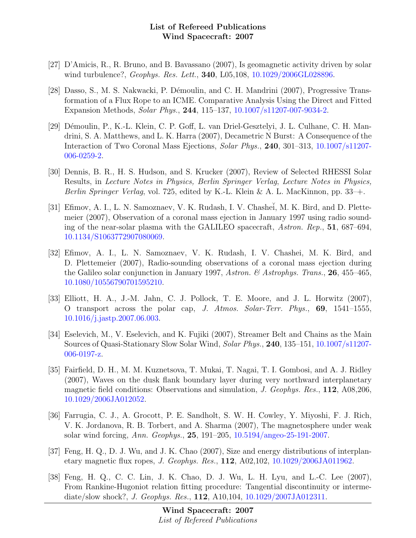- [27] D'Amicis, R., R. Bruno, and B. Bavassano (2007), Is geomagnetic activity driven by solar wind turbulence?, *Geophys. Res. Lett.*, **340**, L05,108, [10.1029/2006GL028896.](http://dx.doi.org/10.1029/2006GL028896)
- [28] Dasso, S., M. S. Nakwacki, P. Démoulin, and C. H. Mandrini (2007), Progressive Transformation of a Flux Rope to an ICME. Comparative Analysis Using the Direct and Fitted Expansion Methods, Solar Phys., 244, 115–137, [10.1007/s11207-007-9034-2.](http://dx.doi.org/10.1007/s11207-007-9034-2)
- [29] Démoulin, P., K.-L. Klein, C. P. Goff, L. van Driel-Gesztelyi, J. L. Culhane, C. H. Mandrini, S. A. Matthews, and L. K. Harra (2007), Decametric N Burst: A Consequence of the Interaction of Two Coronal Mass Ejections, Solar Phys., 240, 301–313, [10.1007/s11207-](http://dx.doi.org/10.1007/s11207-006-0259-2) [006-0259-2.](http://dx.doi.org/10.1007/s11207-006-0259-2)
- [30] Dennis, B. R., H. S. Hudson, and S. Krucker (2007), Review of Selected RHESSI Solar Results, in Lecture Notes in Physics, Berlin Springer Verlag, Lecture Notes in Physics, *Berlin Springer Verlag*, vol. 725, edited by K.-L. Klein & A. L. MacKinnon, pp.  $33$ –+.
- [31] Efimov, A. I., L. N. Samoznaev, V. K. Rudash, I. V. Chashei, M. K. Bird, and D. Plettemeier (2007), Observation of a coronal mass ejection in January 1997 using radio sounding of the near-solar plasma with the GALILEO spacecraft, Astron. Rep., 51, 687–694, [10.1134/S1063772907080069.](http://dx.doi.org/10.1134/S1063772907080069)
- [32] Efimov, A. I., L. N. Samoznaev, V. K. Rudash, I. V. Chashei, M. K. Bird, and D. Plettemeier (2007), Radio-sounding observations of a coronal mass ejection during the Galileo solar conjunction in January 1997, Astron. & Astrophys. Trans., 26, 455-465, [10.1080/10556790701595210.](http://dx.doi.org/10.1080/10556790701595210)
- [33] Elliott, H. A., J.-M. Jahn, C. J. Pollock, T. E. Moore, and J. L. Horwitz (2007), O transport across the polar cap, J. Atmos. Solar-Terr. Phys.,  $69$ ,  $1541-1555$ , [10.1016/j.jastp.2007.06.003.](http://dx.doi.org/10.1016/j.jastp.2007.06.003)
- [34] Eselevich, M., V. Eselevich, and K. Fujiki (2007), Streamer Belt and Chains as the Main Sources of Quasi-Stationary Slow Solar Wind, Solar Phys., 240, 135–151, [10.1007/s11207-](http://dx.doi.org/10.1007/s11207-006-0197-z) [006-0197-z.](http://dx.doi.org/10.1007/s11207-006-0197-z)
- [35] Fairfield, D. H., M. M. Kuznetsova, T. Mukai, T. Nagai, T. I. Gombosi, and A. J. Ridley (2007), Waves on the dusk flank boundary layer during very northward interplanetary magnetic field conditions: Observations and simulation, J. Geophys. Res., 112, A08,206, [10.1029/2006JA012052.](http://dx.doi.org/10.1029/2006JA012052)
- [36] Farrugia, C. J., A. Grocott, P. E. Sandholt, S. W. H. Cowley, Y. Miyoshi, F. J. Rich, V. K. Jordanova, R. B. Torbert, and A. Sharma (2007), The magnetosphere under weak solar wind forcing, Ann. Geophys., 25, 191–205, [10.5194/angeo-25-191-2007.](http://dx.doi.org/10.5194/angeo-25-191-2007)
- [37] Feng, H. Q., D. J. Wu, and J. K. Chao (2007), Size and energy distributions of interplanetary magnetic flux ropes, J. Geophys. Res., 112, A02,102, [10.1029/2006JA011962.](http://dx.doi.org/10.1029/2006JA011962)
- [38] Feng, H. Q., C. C. Lin, J. K. Chao, D. J. Wu, L. H. Lyu, and L.-C. Lee (2007), From Rankine-Hugoniot relation fitting procedure: Tangential discontinuity or intermediate/slow shock?, *J. Geophys. Res.*, **112**, A10,104, [10.1029/2007JA012311.](http://dx.doi.org/10.1029/2007JA012311)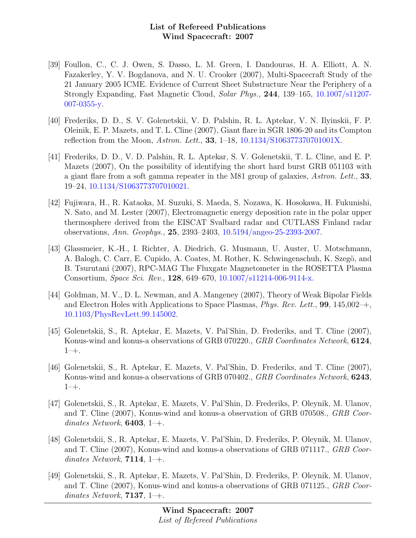- [39] Foullon, C., C. J. Owen, S. Dasso, L. M. Green, I. Dandouras, H. A. Elliott, A. N. Fazakerley, Y. V. Bogdanova, and N. U. Crooker (2007), Multi-Spacecraft Study of the 21 January 2005 ICME. Evidence of Current Sheet Substructure Near the Periphery of a Strongly Expanding, Fast Magnetic Cloud, Solar Phys., 244, 139–165, [10.1007/s11207-](http://dx.doi.org/10.1007/s11207-007-0355-y) [007-0355-y.](http://dx.doi.org/10.1007/s11207-007-0355-y)
- [40] Frederiks, D. D., S. V. Golenetskii, V. D. Palshin, R. L. Aptekar, V. N. Ilyinskii, F. P. Oleinik, E. P. Mazets, and T. L. Cline (2007), Giant flare in SGR 1806-20 and its Compton reflection from the Moon, Astron. Lett., 33, 1–18, [10.1134/S106377370701001X.](http://dx.doi.org/10.1134/S106377370701001X)
- [41] Frederiks, D. D., V. D. Palshin, R. L. Aptekar, S. V. Golenetskii, T. L. Cline, and E. P. Mazets (2007), On the possibility of identifying the short hard burst GRB 051103 with a giant flare from a soft gamma repeater in the M81 group of galaxies, Astron. Lett., 33, 19–24, [10.1134/S1063773707010021.](http://dx.doi.org/10.1134/S1063773707010021)
- [42] Fujiwara, H., R. Kataoka, M. Suzuki, S. Maeda, S. Nozawa, K. Hosokawa, H. Fukunishi, N. Sato, and M. Lester (2007), Electromagnetic energy deposition rate in the polar upper thermosphere derived from the EISCAT Svalbard radar and CUTLASS Finland radar observations, Ann. Geophys., 25, 2393–2403, [10.5194/angeo-25-2393-2007.](http://dx.doi.org/10.5194/angeo-25-2393-2007)
- [43] Glassmeier, K.-H., I. Richter, A. Diedrich, G. Musmann, U. Auster, U. Motschmann, A. Balogh, C. Carr, E. Cupido, A. Coates, M. Rother, K. Schwingenschuh, K. Szegö, and B. Tsurutani (2007), RPC-MAG The Fluxgate Magnetometer in the ROSETTA Plasma Consortium, Space Sci. Rev., 128, 649–670, [10.1007/s11214-006-9114-x.](http://dx.doi.org/10.1007/s11214-006-9114-x)
- [44] Goldman, M. V., D. L. Newman, and A. Mangeney (2007), Theory of Weak Bipolar Fields and Electron Holes with Applications to Space Plasmas, *Phys. Rev. Lett.*, **99**, 145,002 $-+$ , [10.1103/PhysRevLett.99.145002.](http://dx.doi.org/10.1103/PhysRevLett.99.145002)
- [45] Golenetskii, S., R. Aptekar, E. Mazets, V. Pal'Shin, D. Frederiks, and T. Cline (2007), Konus-wind and konus-a observations of GRB 070220., GRB Coordinates Network, 6124, 1–+.
- [46] Golenetskii, S., R. Aptekar, E. Mazets, V. Pal'Shin, D. Frederiks, and T. Cline (2007), Konus-wind and konus-a observations of GRB 070402., GRB Coordinates Network, **6243**,  $1 - +$ .
- [47] Golenetskii, S., R. Aptekar, E. Mazets, V. Pal'Shin, D. Frederiks, P. Oleynik, M. Ulanov, and T. Cline (2007), Konus-wind and konus-a observation of GRB 070508., GRB Coordinates Network,  $6403, 1$ –+.
- [48] Golenetskii, S., R. Aptekar, E. Mazets, V. Pal'Shin, D. Frederiks, P. Oleynik, M. Ulanov, and T. Cline (2007), Konus-wind and konus-a observations of GRB 071117., GRB Coordinates Network,  $7114, 1$ <sup>-+</sup>.
- [49] Golenetskii, S., R. Aptekar, E. Mazets, V. Pal'Shin, D. Frederiks, P. Oleynik, M. Ulanov, and T. Cline (2007), Konus-wind and konus-a observations of GRB 071125., GRB Coordinates Network, **7137**,  $1-\text{+}$ .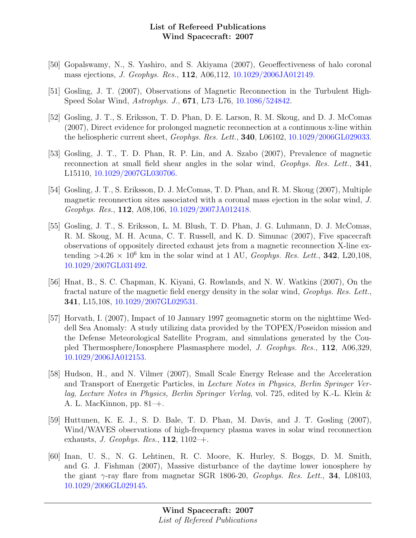- [50] Gopalswamy, N., S. Yashiro, and S. Akiyama (2007), Geoeffectiveness of halo coronal mass ejections, J. Geophys. Res., 112, A06,112, [10.1029/2006JA012149.](http://dx.doi.org/10.1029/2006JA012149)
- [51] Gosling, J. T. (2007), Observations of Magnetic Reconnection in the Turbulent High-Speed Solar Wind, Astrophys. J., 671, L73–L76, [10.1086/524842.](http://dx.doi.org/10.1086/524842)
- [52] Gosling, J. T., S. Eriksson, T. D. Phan, D. E. Larson, R. M. Skoug, and D. J. McComas (2007), Direct evidence for prolonged magnetic reconnection at a continuous x-line within the heliospheric current sheet, Geophys. Res. Lett., 340, L06102, [10.1029/2006GL029033.](http://dx.doi.org/10.1029/2006GL029033)
- [53] Gosling, J. T., T. D. Phan, R. P. Lin, and A. Szabo (2007), Prevalence of magnetic reconnection at small field shear angles in the solar wind, *Geophys. Res. Lett.*, **341**, L15110, [10.1029/2007GL030706.](http://dx.doi.org/10.1029/2007GL030706)
- [54] Gosling, J. T., S. Eriksson, D. J. McComas, T. D. Phan, and R. M. Skoug (2007), Multiple magnetic reconnection sites associated with a coronal mass ejection in the solar wind, J. Geophys. Res., 112, A08,106, [10.1029/2007JA012418.](http://dx.doi.org/10.1029/2007JA012418)
- [55] Gosling, J. T., S. Eriksson, L. M. Blush, T. D. Phan, J. G. Luhmann, D. J. McComas, R. M. Skoug, M. H. Acuna, C. T. Russell, and K. D. Simunac (2007), Five spacecraft observations of oppositely directed exhaust jets from a magnetic reconnection X-line extending  $>4.26\times10^6$  km in the solar wind at 1 AU, *Geophys. Res. Lett.*, **342**, L20,108, [10.1029/2007GL031492.](http://dx.doi.org/10.1029/2007GL031492)
- [56] Hnat, B., S. C. Chapman, K. Kiyani, G. Rowlands, and N. W. Watkins (2007), On the fractal nature of the magnetic field energy density in the solar wind, Geophys. Res. Lett., 341, L15,108, [10.1029/2007GL029531.](http://dx.doi.org/10.1029/2007GL029531)
- [57] Horvath, I. (2007), Impact of 10 January 1997 geomagnetic storm on the nighttime Weddell Sea Anomaly: A study utilizing data provided by the TOPEX/Poseidon mission and the Defense Meteorological Satellite Program, and simulations generated by the Coupled Thermosphere/Ionosphere Plasmasphere model, J. Geophys. Res., 112, A06,329, [10.1029/2006JA012153.](http://dx.doi.org/10.1029/2006JA012153)
- [58] Hudson, H., and N. Vilmer (2007), Small Scale Energy Release and the Acceleration and Transport of Energetic Particles, in Lecture Notes in Physics, Berlin Springer Verlag, Lecture Notes in Physics, Berlin Springer Verlag, vol. 725, edited by K.-L. Klein & A. L. MacKinnon, pp. 81–+.
- [59] Huttunen, K. E. J., S. D. Bale, T. D. Phan, M. Davis, and J. T. Gosling (2007), Wind/WAVES observations of high-frequency plasma waves in solar wind reconnection exhausts, J. Geophys. Res.,  $112$ ,  $1102-+$ .
- [60] Inan, U. S., N. G. Lehtinen, R. C. Moore, K. Hurley, S. Boggs, D. M. Smith, and G. J. Fishman (2007), Massive disturbance of the daytime lower ionosphere by the giant  $\gamma$ -ray flare from magnetar SGR 1806-20, *Geophys. Res. Lett.*, **34**, L08103, [10.1029/2006GL029145.](http://dx.doi.org/10.1029/2006GL029145)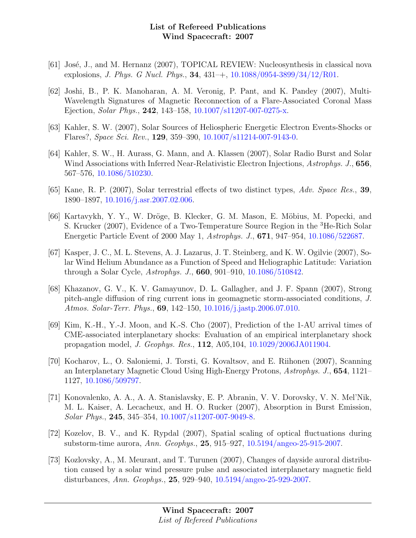- [61] José, J., and M. Hernanz (2007), TOPICAL REVIEW: Nucleosynthesis in classical nova explosions, *J. Phys. G Nucl. Phys.*, **34**,  $431$ –+,  $10.1088/0954-3899/34/12/R01$ .
- [62] Joshi, B., P. K. Manoharan, A. M. Veronig, P. Pant, and K. Pandey (2007), Multi-Wavelength Signatures of Magnetic Reconnection of a Flare-Associated Coronal Mass Ejection, Solar Phys., 242, 143–158, [10.1007/s11207-007-0275-x.](http://dx.doi.org/10.1007/s11207-007-0275-x)
- [63] Kahler, S. W. (2007), Solar Sources of Heliospheric Energetic Electron Events-Shocks or Flares?, Space Sci. Rev., 129, 359–390, [10.1007/s11214-007-9143-0.](http://dx.doi.org/10.1007/s11214-007-9143-0)
- [64] Kahler, S. W., H. Aurass, G. Mann, and A. Klassen (2007), Solar Radio Burst and Solar Wind Associations with Inferred Near-Relativistic Electron Injections, Astrophys. J., 656, 567–576, [10.1086/510230.](http://dx.doi.org/10.1086/510230)
- [65] Kane, R. P. (2007), Solar terrestrial effects of two distinct types, Adv. Space Res., 39, 1890–1897, [10.1016/j.asr.2007.02.006.](http://dx.doi.org/10.1016/j.asr.2007.02.006)
- [66] Kartavykh, Y. Y., W. Dröge, B. Klecker, G. M. Mason, E. Möbius, M. Popecki, and S. Krucker (2007), Evidence of a Two-Temperature Source Region in the <sup>3</sup>He-Rich Solar Energetic Particle Event of 2000 May 1, Astrophys. J., 671, 947–954, [10.1086/522687.](http://dx.doi.org/10.1086/522687)
- [67] Kasper, J. C., M. L. Stevens, A. J. Lazarus, J. T. Steinberg, and K. W. Ogilvie (2007), Solar Wind Helium Abundance as a Function of Speed and Heliographic Latitude: Variation through a Solar Cycle, Astrophys. J., 660, 901–910, [10.1086/510842.](http://dx.doi.org/10.1086/510842)
- [68] Khazanov, G. V., K. V. Gamayunov, D. L. Gallagher, and J. F. Spann (2007), Strong pitch-angle diffusion of ring current ions in geomagnetic storm-associated conditions, J. Atmos. Solar-Terr. Phys., 69, 142–150, [10.1016/j.jastp.2006.07.010.](http://dx.doi.org/10.1016/j.jastp.2006.07.010)
- [69] Kim, K.-H., Y.-J. Moon, and K.-S. Cho (2007), Prediction of the 1-AU arrival times of CME-associated interplanetary shocks: Evaluation of an empirical interplanetary shock propagation model, J. Geophys. Res., 112, A05,104, [10.1029/2006JA011904.](http://dx.doi.org/10.1029/2006JA011904)
- [70] Kocharov, L., O. Saloniemi, J. Torsti, G. Kovaltsov, and E. Riihonen (2007), Scanning an Interplanetary Magnetic Cloud Using High-Energy Protons, Astrophys. J., 654, 1121– 1127, [10.1086/509797.](http://dx.doi.org/10.1086/509797)
- [71] Konovalenko, A. A., A. A. Stanislavsky, E. P. Abranin, V. V. Dorovsky, V. N. Mel'Nik, M. L. Kaiser, A. Lecacheux, and H. O. Rucker (2007), Absorption in Burst Emission, Solar Phys., 245, 345–354, [10.1007/s11207-007-9049-8.](http://dx.doi.org/10.1007/s11207-007-9049-8)
- [72] Kozelov, B. V., and K. Rypdal (2007), Spatial scaling of optical fluctuations during substorm-time aurora, Ann. Geophys., 25, 915–927, [10.5194/angeo-25-915-2007.](http://dx.doi.org/10.5194/angeo-25-915-2007)
- [73] Kozlovsky, A., M. Meurant, and T. Turunen (2007), Changes of dayside auroral distribution caused by a solar wind pressure pulse and associated interplanetary magnetic field disturbances, Ann. Geophys., 25, 929–940, [10.5194/angeo-25-929-2007.](http://dx.doi.org/10.5194/angeo-25-929-2007)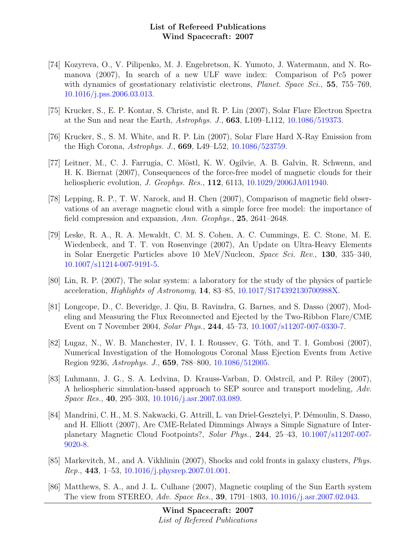- [74] Kozyreva, O., V. Pilipenko, M. J. Engebretson, K. Yumoto, J. Watermann, and N. Romanova (2007), In search of a new ULF wave index: Comparison of Pc5 power with dynamics of geostationary relativistic electrons, *Planet. Space Sci.*, 55, 755–769, [10.1016/j.pss.2006.03.013.](http://dx.doi.org/10.1016/j.pss.2006.03.013)
- [75] Krucker, S., E. P. Kontar, S. Christe, and R. P. Lin (2007), Solar Flare Electron Spectra at the Sun and near the Earth, Astrophys. J., 663, L109–L112, [10.1086/519373.](http://dx.doi.org/10.1086/519373)
- [76] Krucker, S., S. M. White, and R. P. Lin (2007), Solar Flare Hard X-Ray Emission from the High Corona, Astrophys. J., 669, L49–L52, [10.1086/523759.](http://dx.doi.org/10.1086/523759)
- [77] Leitner, M., C. J. Farrugia, C. M¨ostl, K. W. Ogilvie, A. B. Galvin, R. Schwenn, and H. K. Biernat (2007), Consequences of the force-free model of magnetic clouds for their heliospheric evolution, *J. Geophys. Res.*, **112**, 6113, [10.1029/2006JA011940.](http://dx.doi.org/10.1029/2006JA011940)
- [78] Lepping, R. P., T. W. Narock, and H. Chen (2007), Comparison of magnetic field observations of an average magnetic cloud with a simple force free model: the importance of field compression and expansion, Ann. Geophys., 25, 2641–2648.
- [79] Leske, R. A., R. A. Mewaldt, C. M. S. Cohen, A. C. Cummings, E. C. Stone, M. E. Wiedenbeck, and T. T. von Rosenvinge (2007), An Update on Ultra-Heavy Elements in Solar Energetic Particles above 10 MeV/Nucleon, Space Sci. Rev., 130, 335–340, [10.1007/s11214-007-9191-5.](http://dx.doi.org/10.1007/s11214-007-9191-5)
- [80] Lin, R. P. (2007), The solar system: a laboratory for the study of the physics of particle acceleration, Highlights of Astronomy, 14, 83–85, [10.1017/S174392130700988X.](http://dx.doi.org/10.1017/S174392130700988X)
- [81] Longcope, D., C. Beveridge, J. Qiu, B. Ravindra, G. Barnes, and S. Dasso (2007), Modeling and Measuring the Flux Reconnected and Ejected by the Two-Ribbon Flare/CME Event on 7 November 2004, Solar Phys., 244, 45–73, [10.1007/s11207-007-0330-7.](http://dx.doi.org/10.1007/s11207-007-0330-7)
- [82] Lugaz, N., W. B. Manchester, IV, I. I. Roussev, G. Tóth, and T. I. Gombosi (2007), Numerical Investigation of the Homologous Coronal Mass Ejection Events from Active Region 9236, Astrophys. J., 659, 788–800, [10.1086/512005.](http://dx.doi.org/10.1086/512005)
- [83] Luhmann, J. G., S. A. Ledvina, D. Krauss-Varban, D. Odstrcil, and P. Riley (2007), A heliospheric simulation-based approach to SEP source and transport modeling, Adv. Space Res., 40, 295–303, [10.1016/j.asr.2007.03.089.](http://dx.doi.org/10.1016/j.asr.2007.03.089)
- [84] Mandrini, C. H., M. S. Nakwacki, G. Attrill, L. van Driel-Gesztelyi, P. Démoulin, S. Dasso, and H. Elliott (2007), Are CME-Related Dimmings Always a Simple Signature of Interplanetary Magnetic Cloud Footpoints?, Solar Phys., 244, 25–43, [10.1007/s11207-007-](http://dx.doi.org/10.1007/s11207-007-9020-8) [9020-8.](http://dx.doi.org/10.1007/s11207-007-9020-8)
- [85] Markevitch, M., and A. Vikhlinin (2007), Shocks and cold fronts in galaxy clusters, Phys. Rep., 443, 1–53, [10.1016/j.physrep.2007.01.001.](http://dx.doi.org/10.1016/j.physrep.2007.01.001)
- [86] Matthews, S. A., and J. L. Culhane (2007), Magnetic coupling of the Sun Earth system The view from STEREO, Adv. Space Res., 39, 1791–1803, [10.1016/j.asr.2007.02.043.](http://dx.doi.org/10.1016/j.asr.2007.02.043)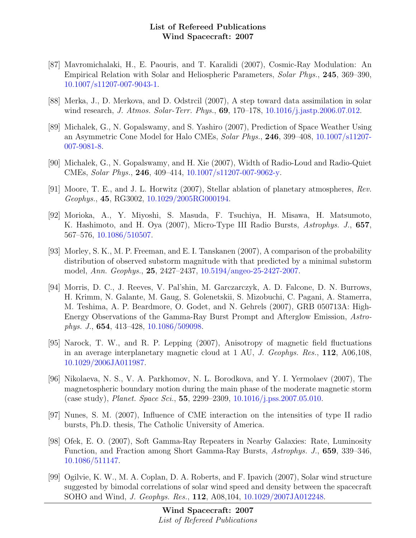- [87] Mavromichalaki, H., E. Paouris, and T. Karalidi (2007), Cosmic-Ray Modulation: An Empirical Relation with Solar and Heliospheric Parameters, Solar Phys., 245, 369–390, [10.1007/s11207-007-9043-1.](http://dx.doi.org/10.1007/s11207-007-9043-1)
- [88] Merka, J., D. Merkova, and D. Odstrcil (2007), A step toward data assimilation in solar wind research, *J. Atmos. Solar-Terr. Phys.*, **69**, 170–178, [10.1016/j.jastp.2006.07.012.](http://dx.doi.org/10.1016/j.jastp.2006.07.012)
- [89] Michalek, G., N. Gopalswamy, and S. Yashiro (2007), Prediction of Space Weather Using an Asymmetric Cone Model for Halo CMEs, Solar Phys., 246, 399–408, [10.1007/s11207-](http://dx.doi.org/10.1007/s11207-007-9081-8) [007-9081-8.](http://dx.doi.org/10.1007/s11207-007-9081-8)
- [90] Michalek, G., N. Gopalswamy, and H. Xie (2007), Width of Radio-Loud and Radio-Quiet CMEs, Solar Phys., 246, 409–414, [10.1007/s11207-007-9062-y.](http://dx.doi.org/10.1007/s11207-007-9062-y)
- [91] Moore, T. E., and J. L. Horwitz (2007), Stellar ablation of planetary atmospheres, Rev. Geophys., 45, RG3002, [10.1029/2005RG000194.](http://dx.doi.org/10.1029/2005RG000194)
- [92] Morioka, A., Y. Miyoshi, S. Masuda, F. Tsuchiya, H. Misawa, H. Matsumoto, K. Hashimoto, and H. Oya (2007), Micro-Type III Radio Bursts, Astrophys. J., 657, 567–576, [10.1086/510507.](http://dx.doi.org/10.1086/510507)
- [93] Morley, S. K., M. P. Freeman, and E. I. Tanskanen (2007), A comparison of the probability distribution of observed substorm magnitude with that predicted by a minimal substorm model, Ann. Geophys., 25, 2427–2437, [10.5194/angeo-25-2427-2007.](http://dx.doi.org/10.5194/angeo-25-2427-2007)
- [94] Morris, D. C., J. Reeves, V. Pal'shin, M. Garczarczyk, A. D. Falcone, D. N. Burrows, H. Krimm, N. Galante, M. Gaug, S. Golenetskii, S. Mizobuchi, C. Pagani, A. Stamerra, M. Teshima, A. P. Beardmore, O. Godet, and N. Gehrels (2007), GRB 050713A: High-Energy Observations of the Gamma-Ray Burst Prompt and Afterglow Emission, Astrophys. J., 654, 413–428, [10.1086/509098.](http://dx.doi.org/10.1086/509098)
- [95] Narock, T. W., and R. P. Lepping (2007), Anisotropy of magnetic field fluctuations in an average interplanetary magnetic cloud at 1 AU, J. Geophys. Res., 112, A06,108, [10.1029/2006JA011987.](http://dx.doi.org/10.1029/2006JA011987)
- [96] Nikolaeva, N. S., V. A. Parkhomov, N. L. Borodkova, and Y. I. Yermolaev (2007), The magnetospheric boundary motion during the main phase of the moderate magnetic storm (case study), Planet. Space Sci., 55, 2299–2309, [10.1016/j.pss.2007.05.010.](http://dx.doi.org/10.1016/j.pss.2007.05.010)
- [97] Nunes, S. M. (2007), Influence of CME interaction on the intensities of type II radio bursts, Ph.D. thesis, The Catholic University of America.
- [98] Ofek, E. O. (2007), Soft Gamma-Ray Repeaters in Nearby Galaxies: Rate, Luminosity Function, and Fraction among Short Gamma-Ray Bursts, Astrophys. J., 659, 339–346, [10.1086/511147.](http://dx.doi.org/10.1086/511147)
- [99] Ogilvie, K. W., M. A. Coplan, D. A. Roberts, and F. Ipavich (2007), Solar wind structure suggested by bimodal correlations of solar wind speed and density between the spacecraft SOHO and Wind, J. Geophys. Res., 112, A08,104, [10.1029/2007JA012248.](http://dx.doi.org/10.1029/2007JA012248)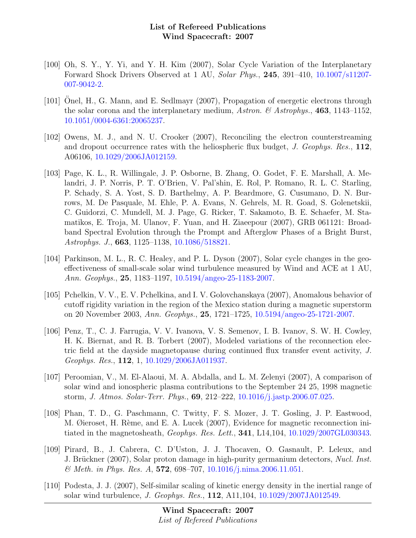- [100] Oh, S. Y., Y. Yi, and Y. H. Kim (2007), Solar Cycle Variation of the Interplanetary Forward Shock Drivers Observed at 1 AU, Solar Phys., 245, 391–410, [10.1007/s11207-](http://dx.doi.org/10.1007/s11207-007-9042-2) [007-9042-2.](http://dx.doi.org/10.1007/s11207-007-9042-2)
- [101] Onel, H., G. Mann, and E. Sedlmayr (2007), Propagation of energetic electrons through the solar corona and the interplanetary medium, Astron.  $\mathcal{C}$  Astrophys., 463, 1143–1152, [10.1051/0004-6361:20065237.](http://dx.doi.org/10.1051/0004-6361:20065237)
- [102] Owens, M. J., and N. U. Crooker (2007), Reconciling the electron counterstreaming and dropout occurrence rates with the heliospheric flux budget,  $J$ . Geophys. Res., 112, A06106, [10.1029/2006JA012159.](http://dx.doi.org/10.1029/2006JA012159)
- [103] Page, K. L., R. Willingale, J. P. Osborne, B. Zhang, O. Godet, F. E. Marshall, A. Melandri, J. P. Norris, P. T. O'Brien, V. Pal'shin, E. Rol, P. Romano, R. L. C. Starling, P. Schady, S. A. Yost, S. D. Barthelmy, A. P. Beardmore, G. Cusumano, D. N. Burrows, M. De Pasquale, M. Ehle, P. A. Evans, N. Gehrels, M. R. Goad, S. Golenetskii, C. Guidorzi, C. Mundell, M. J. Page, G. Ricker, T. Sakamoto, B. E. Schaefer, M. Stamatikos, E. Troja, M. Ulanov, F. Yuan, and H. Ziaeepour (2007), GRB 061121: Broadband Spectral Evolution through the Prompt and Afterglow Phases of a Bright Burst, Astrophys. J., 663, 1125–1138, [10.1086/518821.](http://dx.doi.org/10.1086/518821)
- [104] Parkinson, M. L., R. C. Healey, and P. L. Dyson (2007), Solar cycle changes in the geoeffectiveness of small-scale solar wind turbulence measured by Wind and ACE at 1 AU, Ann. Geophys., 25, 1183–1197, [10.5194/angeo-25-1183-2007.](http://dx.doi.org/10.5194/angeo-25-1183-2007)
- [105] Pchelkin, V. V., E. V. Pchelkina, and I. V. Golovchanskaya (2007), Anomalous behavior of cutoff rigidity variation in the region of the Mexico station during a magnetic superstorm on 20 November 2003, Ann. Geophys., 25, 1721–1725, [10.5194/angeo-25-1721-2007.](http://dx.doi.org/10.5194/angeo-25-1721-2007)
- [106] Penz, T., C. J. Farrugia, V. V. Ivanova, V. S. Semenov, I. B. Ivanov, S. W. H. Cowley, H. K. Biernat, and R. B. Torbert (2007), Modeled variations of the reconnection electric field at the dayside magnetopause during continued flux transfer event activity, J. Geophys. Res., 112, 1, [10.1029/2006JA011937.](http://dx.doi.org/10.1029/2006JA011937)
- [107] Peroomian, V., M. El-Alaoui, M. A. Abdalla, and L. M. Zelenyi (2007), A comparison of solar wind and ionospheric plasma contributions to the September 24 25, 1998 magnetic storm, J. Atmos. Solar-Terr. Phys., 69, 212–222, [10.1016/j.jastp.2006.07.025.](http://dx.doi.org/10.1016/j.jastp.2006.07.025)
- [108] Phan, T. D., G. Paschmann, C. Twitty, F. S. Mozer, J. T. Gosling, J. P. Eastwood, M. Øieroset, H. Rème, and E. A. Lucek (2007), Evidence for magnetic reconnection initiated in the magnetosheath, Geophys. Res. Lett., 341, L14,104, [10.1029/2007GL030343.](http://dx.doi.org/10.1029/2007GL030343)
- [109] Pirard, B., J. Cabrera, C. D'Uston, J. J. Thocaven, O. Gasnault, P. Leleux, and J. Brückner (2007), Solar proton damage in high-purity germanium detectors, Nucl. Inst.  $\&$  Meth. in Phys. Res. A, 572, 698–707, [10.1016/j.nima.2006.11.051.](http://dx.doi.org/10.1016/j.nima.2006.11.051)
- [110] Podesta, J. J. (2007), Self-similar scaling of kinetic energy density in the inertial range of solar wind turbulence, J. Geophys. Res., 112, A11,104, [10.1029/2007JA012549.](http://dx.doi.org/10.1029/2007JA012549)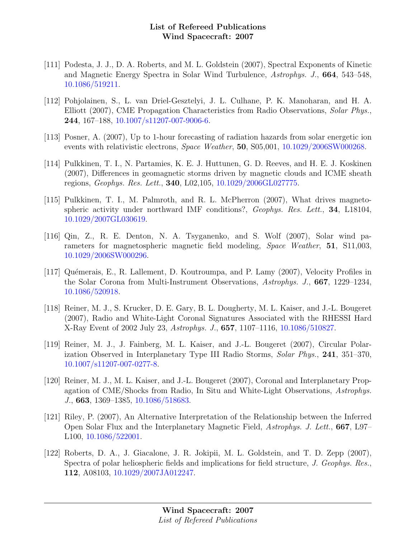- [111] Podesta, J. J., D. A. Roberts, and M. L. Goldstein (2007), Spectral Exponents of Kinetic and Magnetic Energy Spectra in Solar Wind Turbulence, Astrophys. J., 664, 543–548, [10.1086/519211.](http://dx.doi.org/10.1086/519211)
- [112] Pohjolainen, S., L. van Driel-Gesztelyi, J. L. Culhane, P. K. Manoharan, and H. A. Elliott (2007), CME Propagation Characteristics from Radio Observations, Solar Phys., 244, 167–188, [10.1007/s11207-007-9006-6.](http://dx.doi.org/10.1007/s11207-007-9006-6)
- [113] Posner, A. (2007), Up to 1-hour forecasting of radiation hazards from solar energetic ion events with relativistic electrons, Space Weather, 50, S05,001, [10.1029/2006SW000268.](http://dx.doi.org/10.1029/2006SW000268)
- [114] Pulkkinen, T. I., N. Partamies, K. E. J. Huttunen, G. D. Reeves, and H. E. J. Koskinen (2007), Differences in geomagnetic storms driven by magnetic clouds and ICME sheath regions, Geophys. Res. Lett., 340, L02,105, [10.1029/2006GL027775.](http://dx.doi.org/10.1029/2006GL027775)
- [115] Pulkkinen, T. I., M. Palmroth, and R. L. McPherron (2007), What drives magnetospheric activity under northward IMF conditions?, Geophys. Res. Lett., 34, L18104, [10.1029/2007GL030619.](http://dx.doi.org/10.1029/2007GL030619)
- [116] Qin, Z., R. E. Denton, N. A. Tsyganenko, and S. Wolf (2007), Solar wind parameters for magnetospheric magnetic field modeling, Space Weather, 51, S11,003, [10.1029/2006SW000296.](http://dx.doi.org/10.1029/2006SW000296)
- [117] Quémerais, E., R. Lallement, D. Koutroumpa, and P. Lamy (2007), Velocity Profiles in the Solar Corona from Multi-Instrument Observations, Astrophys. J., 667, 1229–1234, [10.1086/520918.](http://dx.doi.org/10.1086/520918)
- [118] Reiner, M. J., S. Krucker, D. E. Gary, B. L. Dougherty, M. L. Kaiser, and J.-L. Bougeret (2007), Radio and White-Light Coronal Signatures Associated with the RHESSI Hard X-Ray Event of 2002 July 23, Astrophys. J., 657, 1107–1116, [10.1086/510827.](http://dx.doi.org/10.1086/510827)
- [119] Reiner, M. J., J. Fainberg, M. L. Kaiser, and J.-L. Bougeret (2007), Circular Polarization Observed in Interplanetary Type III Radio Storms, Solar Phys., 241, 351–370, [10.1007/s11207-007-0277-8.](http://dx.doi.org/10.1007/s11207-007-0277-8)
- [120] Reiner, M. J., M. L. Kaiser, and J.-L. Bougeret (2007), Coronal and Interplanetary Propagation of CME/Shocks from Radio, In Situ and White-Light Observations, Astrophys. J., 663, 1369–1385, [10.1086/518683.](http://dx.doi.org/10.1086/518683)
- [121] Riley, P. (2007), An Alternative Interpretation of the Relationship between the Inferred Open Solar Flux and the Interplanetary Magnetic Field, Astrophys. J. Lett., 667, L97– L100, [10.1086/522001.](http://dx.doi.org/10.1086/522001)
- [122] Roberts, D. A., J. Giacalone, J. R. Jokipii, M. L. Goldstein, and T. D. Zepp (2007), Spectra of polar heliospheric fields and implications for field structure, J. Geophys. Res., 112, A08103, [10.1029/2007JA012247.](http://dx.doi.org/10.1029/2007JA012247)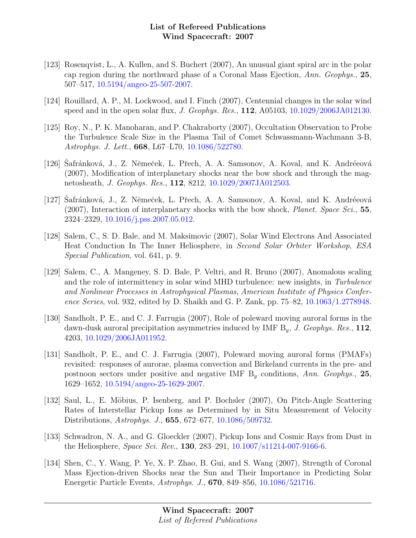- [123] Rosenqvist, L., A. Kullen, and S. Buchert (2007), An unusual giant spiral arc in the polar cap region during the northward phase of a Coronal Mass Ejection, Ann. Geophys., 25, 507–517, [10.5194/angeo-25-507-2007.](http://dx.doi.org/10.5194/angeo-25-507-2007)
- [124] Rouillard, A. P., M. Lockwood, and I. Finch (2007), Centennial changes in the solar wind speed and in the open solar flux, J. Geophys. Res., 112, A05103, [10.1029/2006JA012130.](http://dx.doi.org/10.1029/2006JA012130)
- [125] Roy, N., P. K. Manoharan, and P. Chakraborty (2007), Occultation Observation to Probe the Turbulence Scale Size in the Plasma Tail of Comet Schwassmann-Wachmann 3-B, Astrophys. J. Lett., 668, L67–L70, [10.1086/522780.](http://dx.doi.org/10.1086/522780)
- [126] Safránková, J., Z. Němeček, L. Přech, A. A. Samsonov, A. Koval, and K. Andréeová (2007), Modification of interplanetary shocks near the bow shock and through the magnetosheath, J. Geophys. Res., 112, 8212, [10.1029/2007JA012503.](http://dx.doi.org/10.1029/2007JA012503)
- [127] Safránková, J., Z. Němeček, L. Přech, A. A. Samsonov, A. Koval, and K. Andréeová  $(2007)$ , Interaction of interplanetary shocks with the bow shock, *Planet. Space Sci.*, 55, 2324–2329, [10.1016/j.pss.2007.05.012.](http://dx.doi.org/10.1016/j.pss.2007.05.012)
- [128] Salem, C., S. D. Bale, and M. Maksimovic (2007), Solar Wind Electrons And Associated Heat Conduction In The Inner Heliosphere, in Second Solar Orbiter Workshop, ESA Special Publication, vol. 641, p. 9.
- [129] Salem, C., A. Mangeney, S. D. Bale, P. Veltri, and R. Bruno (2007), Anomalous scaling and the role of intermittency in solar wind MHD turbulence: new insights, in Turbulence and Nonlinear Processes in Astrophysical Plasmas, American Institute of Physics Conference Series, vol. 932, edited by D. Shaikh and G. P. Zank, pp. 75–82, [10.1063/1.2778948.](http://dx.doi.org/10.1063/1.2778948)
- [130] Sandholt, P. E., and C. J. Farrugia (2007), Role of poleward moving auroral forms in the dawn-dusk auroral precipitation asymmetries induced by IMF  $B_y$ , J. Geophys. Res., 112, 4203, [10.1029/2006JA011952.](http://dx.doi.org/10.1029/2006JA011952)
- [131] Sandholt, P. E., and C. J. Farrugia (2007), Poleward moving auroral forms (PMAFs) revisited: responses of aurorae, plasma convection and Birkeland currents in the pre- and postnoon sectors under positive and negative IMF  $B<sub>y</sub>$  conditions, Ann. Geophys., 25, 1629–1652, [10.5194/angeo-25-1629-2007.](http://dx.doi.org/10.5194/angeo-25-1629-2007)
- [132] Saul, L., E. Möbius, P. Isenberg, and P. Bochsler (2007), On Pitch-Angle Scattering Rates of Interstellar Pickup Ions as Determined by in Situ Measurement of Velocity Distributions, Astrophys. J., 655, 672–677, [10.1086/509732.](http://dx.doi.org/10.1086/509732)
- [133] Schwadron, N. A., and G. Gloeckler (2007), Pickup Ions and Cosmic Rays from Dust in the Heliosphere, Space Sci. Rev., 130, 283–291, [10.1007/s11214-007-9166-6.](http://dx.doi.org/10.1007/s11214-007-9166-6)
- [134] Shen, C., Y. Wang, P. Ye, X. P. Zhao, B. Gui, and S. Wang (2007), Strength of Coronal Mass Ejection-driven Shocks near the Sun and Their Importance in Predicting Solar Energetic Particle Events, Astrophys. J., 670, 849–856, [10.1086/521716.](http://dx.doi.org/10.1086/521716)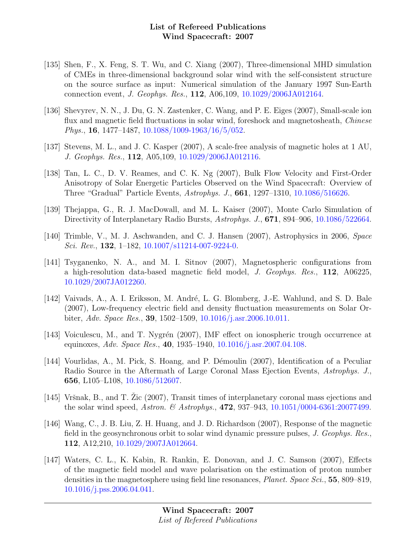- [135] Shen, F., X. Feng, S. T. Wu, and C. Xiang (2007), Three-dimensional MHD simulation of CMEs in three-dimensional background solar wind with the self-consistent structure on the source surface as input: Numerical simulation of the January 1997 Sun-Earth connection event, J. Geophys. Res., 112, A06,109, [10.1029/2006JA012164.](http://dx.doi.org/10.1029/2006JA012164)
- [136] Shevyrev, N. N., J. Du, G. N. Zastenker, C. Wang, and P. E. Eiges (2007), Small-scale ion flux and magnetic field fluctuations in solar wind, foreshock and magnetosheath, Chinese Phys., 16, 1477–1487, [10.1088/1009-1963/16/5/052.](http://dx.doi.org/10.1088/1009-1963/16/5/052)
- [137] Stevens, M. L., and J. C. Kasper (2007), A scale-free analysis of magnetic holes at 1 AU, J. Geophys. Res., 112, A05,109, [10.1029/2006JA012116.](http://dx.doi.org/10.1029/2006JA012116)
- [138] Tan, L. C., D. V. Reames, and C. K. Ng (2007), Bulk Flow Velocity and First-Order Anisotropy of Solar Energetic Particles Observed on the Wind Spacecraft: Overview of Three "Gradual" Particle Events, Astrophys. J., 661, 1297–1310, [10.1086/516626.](http://dx.doi.org/10.1086/516626)
- [139] Thejappa, G., R. J. MacDowall, and M. L. Kaiser (2007), Monte Carlo Simulation of Directivity of Interplanetary Radio Bursts, Astrophys. J., **671**, 894–906, [10.1086/522664.](http://dx.doi.org/10.1086/522664)
- [140] Trimble, V., M. J. Aschwanden, and C. J. Hansen (2007), Astrophysics in 2006, Space Sci. Rev., 132, 1-182,  $10.1007 \, \text{s}$ 11214-007-9224-0.
- [141] Tsyganenko, N. A., and M. I. Sitnov (2007), Magnetospheric configurations from a high-resolution data-based magnetic field model, J. Geophys. Res., 112, A06225, [10.1029/2007JA012260.](http://dx.doi.org/10.1029/2007JA012260)
- [142] Vaivads, A., A. I. Eriksson, M. André, L. G. Blomberg, J.-E. Wahlund, and S. D. Bale (2007), Low-frequency electric field and density fluctuation measurements on Solar Orbiter, Adv. Space Res., 39, 1502–1509, [10.1016/j.asr.2006.10.011.](http://dx.doi.org/10.1016/j.asr.2006.10.011)
- [143] Voiculescu, M., and T. Nygrén (2007), IMF effect on ionospheric trough occurrence at equinoxes, Adv. Space Res., 40, 1935–1940, [10.1016/j.asr.2007.04.108.](http://dx.doi.org/10.1016/j.asr.2007.04.108)
- [144] Vourlidas, A., M. Pick, S. Hoang, and P. Démoulin (2007), Identification of a Peculiar Radio Source in the Aftermath of Large Coronal Mass Ejection Events, Astrophys. J., 656, L105–L108, [10.1086/512607.](http://dx.doi.org/10.1086/512607)
- [145] Vršnak, B., and T. Zic  $(2007)$ , Transit times of interplanetary coronal mass ejections and the solar wind speed, Astron. & Astrophys., 472, 937–943,  $10.1051/0004-6361:20077499$ .
- [146] Wang, C., J. B. Liu, Z. H. Huang, and J. D. Richardson (2007), Response of the magnetic field in the geosynchronous orbit to solar wind dynamic pressure pulses, J. Geophys. Res., 112, A12,210, [10.1029/2007JA012664.](http://dx.doi.org/10.1029/2007JA012664)
- [147] Waters, C. L., K. Kabin, R. Rankin, E. Donovan, and J. C. Samson (2007), Effects of the magnetic field model and wave polarisation on the estimation of proton number densities in the magnetosphere using field line resonances, *Planet. Space Sci.*, 55, 809–819, [10.1016/j.pss.2006.04.041.](http://dx.doi.org/10.1016/j.pss.2006.04.041)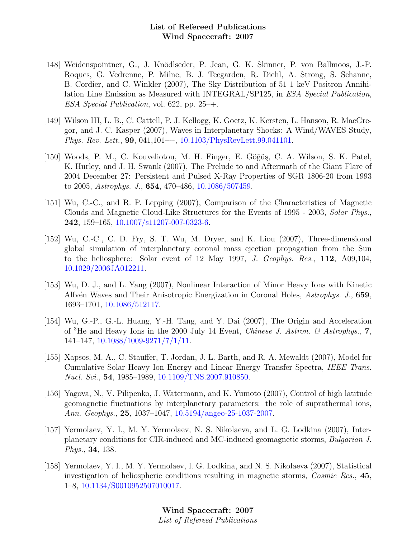- [148] Weidenspointner, G., J. Knödlseder, P. Jean, G. K. Skinner, P. von Ballmoos, J.-P. Roques, G. Vedrenne, P. Milne, B. J. Teegarden, R. Diehl, A. Strong, S. Schanne, B. Cordier, and C. Winkler (2007), The Sky Distribution of 51 1 keV Positron Annihilation Line Emission as Measured with INTEGRAL/SP125, in ESA Special Publication, ESA Special Publication, vol. 622, pp. 25–+.
- [149] Wilson III, L. B., C. Cattell, P. J. Kellogg, K. Goetz, K. Kersten, L. Hanson, R. MacGregor, and J. C. Kasper (2007), Waves in Interplanetary Shocks: A Wind/WAVES Study, Phys. Rev. Lett., 99, 041,101–+, [10.1103/PhysRevLett.99.041101.](http://dx.doi.org/10.1103/PhysRevLett.99.041101)
- [150] Woods, P. M., C. Kouveliotou, M. H. Finger, E. Göğüş, C. A. Wilson, S. K. Patel, K. Hurley, and J. H. Swank (2007), The Prelude to and Aftermath of the Giant Flare of 2004 December 27: Persistent and Pulsed X-Ray Properties of SGR 1806-20 from 1993 to 2005, Astrophys. J., 654, 470–486, [10.1086/507459.](http://dx.doi.org/10.1086/507459)
- [151] Wu, C.-C., and R. P. Lepping (2007), Comparison of the Characteristics of Magnetic Clouds and Magnetic Cloud-Like Structures for the Events of 1995 - 2003, Solar Phys., 242, 159–165, [10.1007/s11207-007-0323-6.](http://dx.doi.org/10.1007/s11207-007-0323-6)
- [152] Wu, C.-C., C. D. Fry, S. T. Wu, M. Dryer, and K. Liou (2007), Three-dimensional global simulation of interplanetary coronal mass ejection propagation from the Sun to the heliosphere: Solar event of 12 May 1997, J. Geophys. Res., 112, A09,104, [10.1029/2006JA012211.](http://dx.doi.org/10.1029/2006JA012211)
- [153] Wu, D. J., and L. Yang (2007), Nonlinear Interaction of Minor Heavy Ions with Kinetic Alfvén Waves and Their Anisotropic Energization in Coronal Holes, Astrophys. J., 659, 1693–1701, [10.1086/512117.](http://dx.doi.org/10.1086/512117)
- [154] Wu, G.-P., G.-L. Huang, Y.-H. Tang, and Y. Dai (2007), The Origin and Acceleration of <sup>3</sup>He and Heavy Ions in the 2000 July 14 Event, *Chinese J. Astron.*  $\mathcal{C}$  Astrophys., **7**, 141–147, [10.1088/1009-9271/7/1/11.](http://dx.doi.org/10.1088/1009-9271/7/1/11)
- [155] Xapsos, M. A., C. Stauffer, T. Jordan, J. L. Barth, and R. A. Mewaldt (2007), Model for Cumulative Solar Heavy Ion Energy and Linear Energy Transfer Spectra, IEEE Trans. Nucl. Sci., 54, 1985–1989, [10.1109/TNS.2007.910850.](http://dx.doi.org/10.1109/TNS.2007.910850)
- [156] Yagova, N., V. Pilipenko, J. Watermann, and K. Yumoto (2007), Control of high latitude geomagnetic fluctuations by interplanetary parameters: the role of suprathermal ions, Ann. Geophys., 25, 1037–1047, [10.5194/angeo-25-1037-2007.](http://dx.doi.org/10.5194/angeo-25-1037-2007)
- [157] Yermolaev, Y. I., M. Y. Yermolaev, N. S. Nikolaeva, and L. G. Lodkina (2007), Interplanetary conditions for CIR-induced and MC-induced geomagnetic storms, Bulgarian J. Phys., 34, 138.
- [158] Yermolaev, Y. I., M. Y. Yermolaev, I. G. Lodkina, and N. S. Nikolaeva (2007), Statistical investigation of heliospheric conditions resulting in magnetic storms, Cosmic Res., 45, 1–8, [10.1134/S0010952507010017.](http://dx.doi.org/10.1134/S0010952507010017)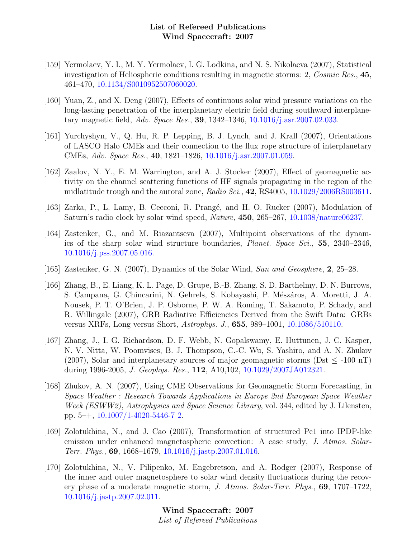- [159] Yermolaev, Y. I., M. Y. Yermolaev, I. G. Lodkina, and N. S. Nikolaeva (2007), Statistical investigation of Heliospheric conditions resulting in magnetic storms: 2, Cosmic Res., 45, 461–470, [10.1134/S0010952507060020.](http://dx.doi.org/10.1134/S0010952507060020)
- [160] Yuan, Z., and X. Deng (2007), Effects of continuous solar wind pressure variations on the long-lasting penetration of the interplanetary electric field during southward interplanetary magnetic field, Adv. Space Res., 39, 1342–1346, [10.1016/j.asr.2007.02.033.](http://dx.doi.org/10.1016/j.asr.2007.02.033)
- [161] Yurchyshyn, V., Q. Hu, R. P. Lepping, B. J. Lynch, and J. Krall (2007), Orientations of LASCO Halo CMEs and their connection to the flux rope structure of interplanetary CMEs, Adv. Space Res., 40, 1821–1826, [10.1016/j.asr.2007.01.059.](http://dx.doi.org/10.1016/j.asr.2007.01.059)
- [162] Zaalov, N. Y., E. M. Warrington, and A. J. Stocker (2007), Effect of geomagnetic activity on the channel scattering functions of HF signals propagating in the region of the midlatitude trough and the auroral zone, Radio Sci.,  $42$ , RS4005, [10.1029/2006RS003611.](http://dx.doi.org/10.1029/2006RS003611)
- [163] Zarka, P., L. Lamy, B. Cecconi, R. Prangé, and H. O. Rucker (2007), Modulation of Saturn's radio clock by solar wind speed, Nature, 450, 265–267, [10.1038/nature06237.](http://dx.doi.org/10.1038/nature06237)
- [164] Zastenker, G., and M. Riazantseva (2007), Multipoint observations of the dynamics of the sharp solar wind structure boundaries, Planet. Space Sci., 55, 2340–2346, [10.1016/j.pss.2007.05.016.](http://dx.doi.org/10.1016/j.pss.2007.05.016)
- [165] Zastenker, G. N. (2007), Dynamics of the Solar Wind, Sun and Geosphere, 2, 25–28.
- [166] Zhang, B., E. Liang, K. L. Page, D. Grupe, B.-B. Zhang, S. D. Barthelmy, D. N. Burrows, S. Campana, G. Chincarini, N. Gehrels, S. Kobayashi, P. Mészáros, A. Moretti, J. A. Nousek, P. T. O'Brien, J. P. Osborne, P. W. A. Roming, T. Sakamoto, P. Schady, and R. Willingale (2007), GRB Radiative Efficiencies Derived from the Swift Data: GRBs versus XRFs, Long versus Short, Astrophys. J., 655, 989–1001, [10.1086/510110.](http://dx.doi.org/10.1086/510110)
- [167] Zhang, J., I. G. Richardson, D. F. Webb, N. Gopalswamy, E. Huttunen, J. C. Kasper, N. V. Nitta, W. Poomvises, B. J. Thompson, C.-C. Wu, S. Yashiro, and A. N. Zhukov (2007), Solar and interplanetary sources of major geomagnetic storms ( $\text{Dst}$  < -100 nT) during 1996-2005, J. Geophys. Res., 112, A10,102, [10.1029/2007JA012321.](http://dx.doi.org/10.1029/2007JA012321)
- [168] Zhukov, A. N. (2007), Using CME Observations for Geomagnetic Storm Forecasting, in Space Weather : Research Towards Applications in Europe 2nd European Space Weather Week (ESWW2), Astrophysics and Space Science Library, vol. 344, edited by J. Lilensten, pp. 5–+, [10.1007/1-4020-5446-7](http://dx.doi.org/10.1007/1-4020-5446-7_2) 2.
- [169] Zolotukhina, N., and J. Cao (2007), Transformation of structured Pc1 into IPDP-like emission under enhanced magnetospheric convection: A case study, J. Atmos. Solar-Terr. Phys., 69, 1668–1679, [10.1016/j.jastp.2007.01.016.](http://dx.doi.org/10.1016/j.jastp.2007.01.016)
- [170] Zolotukhina, N., V. Pilipenko, M. Engebretson, and A. Rodger (2007), Response of the inner and outer magnetosphere to solar wind density fluctuations during the recovery phase of a moderate magnetic storm, J. Atmos. Solar-Terr. Phys., 69, 1707–1722, [10.1016/j.jastp.2007.02.011.](http://dx.doi.org/10.1016/j.jastp.2007.02.011)